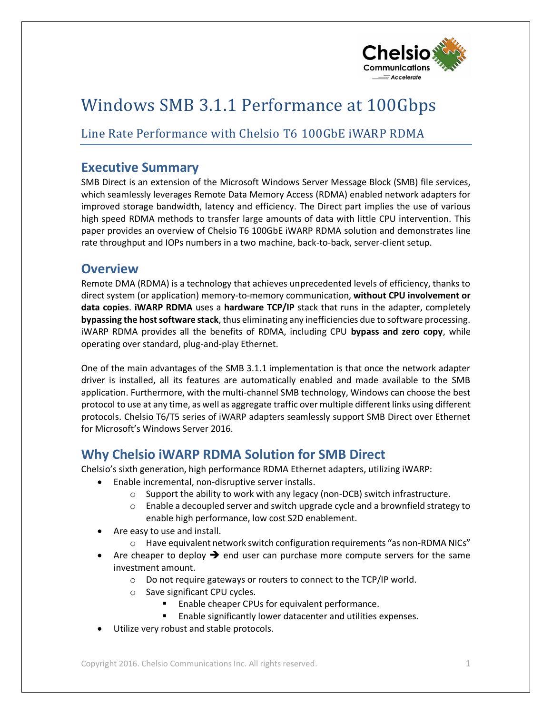

# Windows SMB 3.1.1 Performance at 100Gbps

# Line Rate Performance with Chelsio T6 100GbE iWARP RDMA

## **Executive Summary**

SMB Direct is an extension of the Microsoft Windows Server Message Block (SMB) file services, which seamlessly leverages Remote Data Memory Access (RDMA) enabled network adapters for improved storage bandwidth, latency and efficiency. The Direct part implies the use of various high speed RDMA methods to transfer large amounts of data with little CPU intervention. This paper provides an overview of Chelsio T6 100GbE iWARP RDMA solution and demonstrates line rate throughput and IOPs numbers in a two machine, back-to-back, server-client setup.

### **Overview**

Remote DMA (RDMA) is a technology that achieves unprecedented levels of efficiency, thanks to direct system (or application) memory-to-memory communication, **without CPU involvement or data copies**. **iWARP RDMA** uses a **hardware TCP/IP** stack that runs in the adapter, completely **bypassing the host software stack**, thus eliminating any inefficiencies due to software processing. iWARP RDMA provides all the benefits of RDMA, including CPU **bypass and zero copy**, while operating over standard, plug-and-play Ethernet.

One of the main advantages of the SMB 3.1.1 implementation is that once the network adapter driver is installed, all its features are automatically enabled and made available to the SMB application. Furthermore, with the multi-channel SMB technology, Windows can choose the best protocol to use at any time, as well as aggregate traffic over multiple different links using different protocols. Chelsio T6/T5 series of iWARP adapters seamlessly support SMB Direct over Ethernet for Microsoft's Windows Server 2016.

# **Why Chelsio iWARP RDMA Solution for SMB Direct**

Chelsio's sixth generation, high performance RDMA Ethernet adapters, utilizing iWARP:

- Enable incremental, non-disruptive server installs.
	- o Support the ability to work with any legacy (non-DCB) switch infrastructure.
	- $\circ$  Enable a decoupled server and switch upgrade cycle and a brownfield strategy to enable high performance, low cost S2D enablement.
- Are easy to use and install.
	- o Have equivalent network switch configuration requirements "as non-RDMA NICs"
- Are cheaper to deploy  $\rightarrow$  end user can purchase more compute servers for the same investment amount.
	- o Do not require gateways or routers to connect to the TCP/IP world.
	- o Save significant CPU cycles.
		- Enable cheaper CPUs for equivalent performance.
		- **Enable significantly lower datacenter and utilities expenses.**
- Utilize very robust and stable protocols.

Copyright 2016. Chelsio Communications Inc. All rights reserved. 1 1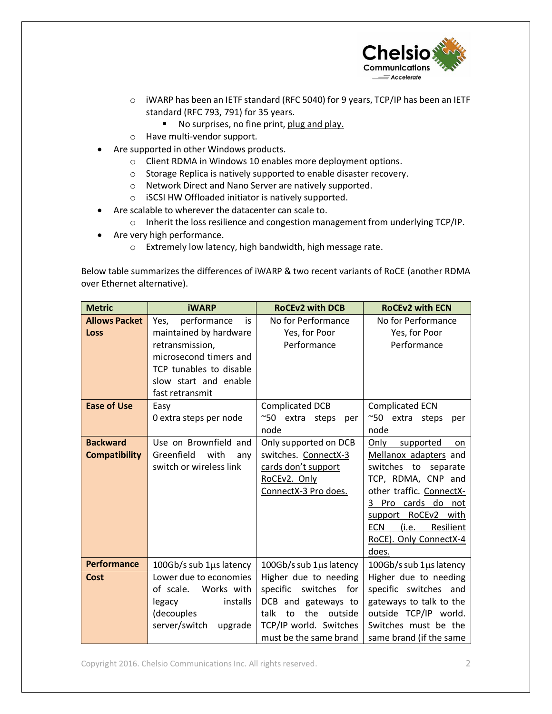

- o iWARP has been an IETF standard (RFC 5040) for 9 years, TCP/IP has been an IETF standard (RFC 793, 791) for 35 years.
	- No surprises, no fine print, plug and play.
- o Have multi-vendor support.
- Are supported in other Windows products.
	- o Client RDMA in Windows 10 enables more deployment options.
	- o Storage Replica is natively supported to enable disaster recovery.
	- o Network Direct and Nano Server are natively supported.
	- o iSCSI HW Offloaded initiator is natively supported.
- Are scalable to wherever the datacenter can scale to.
	- o Inherit the loss resilience and congestion management from underlying TCP/IP.
- Are very high performance.
	- o Extremely low latency, high bandwidth, high message rate.

Below table summarizes the differences of iWARP & two recent variants of RoCE (another RDMA over Ethernet alternative).

| <b>Metric</b>                           | <b>iWARP</b>                                                                                                                                                            | <b>RoCEv2 with DCB</b>                                                                                                              | <b>RoCEv2 with ECN</b>                                                                                                                                                                                                                                     |  |  |
|-----------------------------------------|-------------------------------------------------------------------------------------------------------------------------------------------------------------------------|-------------------------------------------------------------------------------------------------------------------------------------|------------------------------------------------------------------------------------------------------------------------------------------------------------------------------------------------------------------------------------------------------------|--|--|
| <b>Allows Packet</b><br>Loss            | performance<br>Yes,<br>is<br>maintained by hardware<br>retransmission,<br>microsecond timers and<br>TCP tunables to disable<br>slow start and enable<br>fast retransmit | No for Performance<br>Yes, for Poor<br>Performance                                                                                  | No for Performance<br>Yes, for Poor<br>Performance                                                                                                                                                                                                         |  |  |
| <b>Ease of Use</b>                      | Easy<br>0 extra steps per node                                                                                                                                          | <b>Complicated DCB</b><br>~50 extra steps<br>per<br>node                                                                            | <b>Complicated ECN</b><br>~50 extra steps<br>per<br>node                                                                                                                                                                                                   |  |  |
| <b>Backward</b><br><b>Compatibility</b> | Use on Brownfield and<br>Greenfield<br>with<br>any<br>switch or wireless link                                                                                           | Only supported on DCB<br>switches. ConnectX-3<br>cards don't support<br>RoCEv2. Only<br>ConnectX-3 Pro does.                        | Only<br>supported<br>on<br>Mellanox adapters and<br>switches to<br>separate<br>TCP, RDMA, CNP and<br>other traffic. ConnectX-<br>Pro cards do<br>3<br>not<br>RoCEv2 with<br>support<br><b>ECN</b><br>(i.e.<br>Resilient<br>RoCE). Only ConnectX-4<br>does. |  |  |
| <b>Performance</b><br>Cost              | 100Gb/s sub 1µs latency<br>Lower due to economies                                                                                                                       | 100Gb/s sub $1\mu s$ latency<br>Higher due to needing                                                                               | 100Gb/s sub $1\mu s$ latency<br>Higher due to needing                                                                                                                                                                                                      |  |  |
|                                         | of scale. Works with<br>installs<br>legacy<br>(decouples<br>server/switch<br>upgrade                                                                                    | specific switches<br>for<br>DCB and gateways to<br>the<br>talk<br>to<br>outside<br>TCP/IP world. Switches<br>must be the same brand | specific switches and<br>gateways to talk to the<br>outside TCP/IP world.<br>Switches must be the<br>same brand (if the same                                                                                                                               |  |  |

Copyright 2016. Chelsio Communications Inc. All rights reserved. 2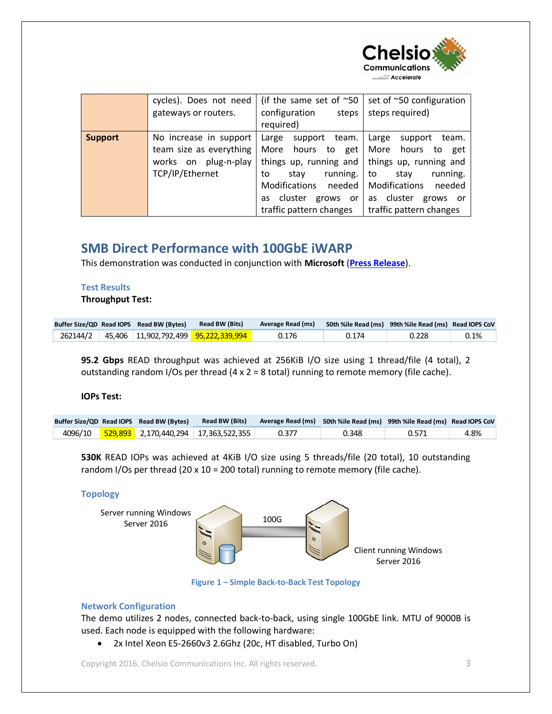

|                | cycles). Does not need<br>gateways or routers.                                               | (if the same set of $\sim$ 50<br>configuration<br>steps<br>required)                                                                                                                       | set of ~50 configuration<br>steps required)                                                                                                                                           |  |  |
|----------------|----------------------------------------------------------------------------------------------|--------------------------------------------------------------------------------------------------------------------------------------------------------------------------------------------|---------------------------------------------------------------------------------------------------------------------------------------------------------------------------------------|--|--|
| <b>Support</b> | No increase in support<br>team size as everything<br>works on plug-n-play<br>TCP/IP/Ethernet | Large<br>support<br>team.<br>hours to<br>More<br>get<br>things up, running and<br>running.<br>stav<br>to<br>Modifications<br>needed  <br>cluster grows or<br>as<br>traffic pattern changes | Large<br>support<br>team.<br>More hours to<br>get<br>things up, running and<br>running.<br>to<br>stav<br>Modifications<br>needed<br>as cluster<br>grows or<br>traffic pattern changes |  |  |

# **SMB Direct Performance with 100GbE iWARP**

This demonstration was conducted in conjunction with **Microsoft** (**[Press Release](http://www.chelsio.com/wp-content/uploads/resources/PR_Chelsio_MS_SMB_100G.pdf)**).

#### **Test Results**

**Throughput Test:**

|  | Buffer Size/QD Read IOPS Read BW (Bytes) | <b>Read BW (Bits)</b>                                           | Average Read (ms) | 50th %ile Read (ms) 99th %ile Read (ms) Read IOPS CoV |       |         |
|--|------------------------------------------|-----------------------------------------------------------------|-------------------|-------------------------------------------------------|-------|---------|
|  |                                          | 262144/2   45,406   11,902,792,499 <mark>95,222,339,994 </mark> | 0.176             | 0.174                                                 | 0.228 | $0.1\%$ |

**95.2 Gbps** READ throughput was achieved at 256KiB I/O size using 1 thread/file (4 total), 2 outstanding random I/Os per thread  $(4 \times 2 = 8 \text{ total})$  running to remote memory (file cache).

#### **IOPs Test:**

|  | Buffer Size/QD Read IOPS Read BW (Bytes) | <b>Read BW (Bits)</b> |       | Average Read (ms) 50th %ile Read (ms) 99th %ile Read (ms) Read IOPS CoV |       |      |
|--|------------------------------------------|-----------------------|-------|-------------------------------------------------------------------------|-------|------|
|  |                                          |                       | 0.377 | 0.348                                                                   | 0.571 | 4.8% |

**530K** READ IOPs was achieved at 4KiB I/O size using 5 threads/file (20 total), 10 outstanding random I/Os per thread (20 x 10 = 200 total) running to remote memory (file cache).

#### **Topology**



**Figure 1 – Simple Back-to-Back Test Topology**

#### **Network Configuration**

The demo utilizes 2 nodes, connected back-to-back, using single 100GbE link. MTU of 9000B is used. Each node is equipped with the following hardware:

2x Intel Xeon E5-2660v3 2.6Ghz (20c, HT disabled, Turbo On)

Copyright 2016. Chelsio Communications Inc. All rights reserved. 3